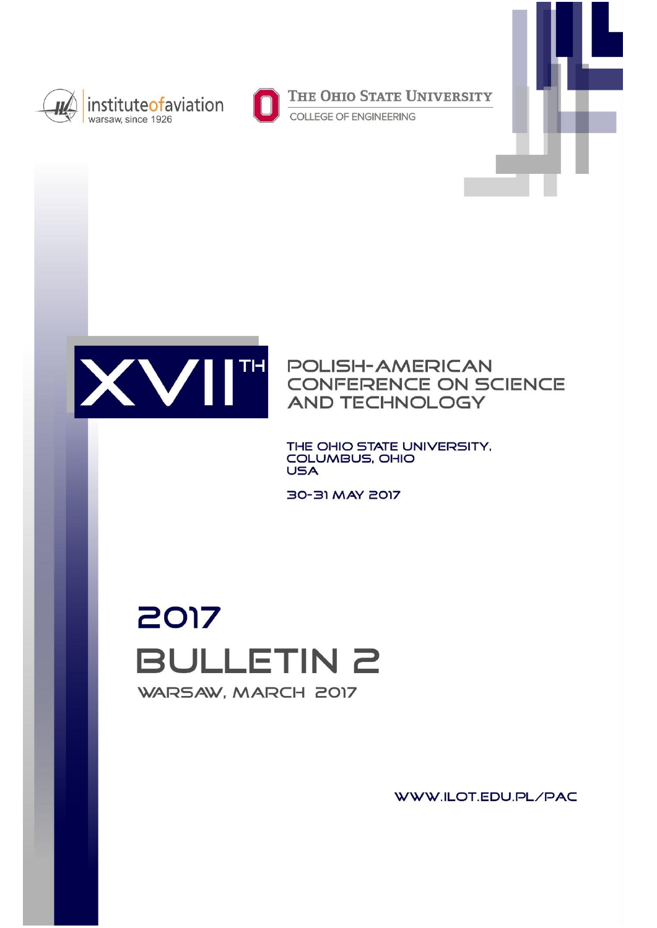



THE OHIO STATE UNIVERSITY

COLLEGE OF ENGINEERING



**POLISH-AMERICAN** CONFERENCE ON SCIENCE **AND TECHNOLOGY** 

THE OHIO STATE UNIVERSITY, COLUMBUS, OHIO **USA** 

30-31 MAY 2017

2017 **BULLETIN 2** WARSAW, MARCH 2017

WWW.ILOT.EDU.PL/PAC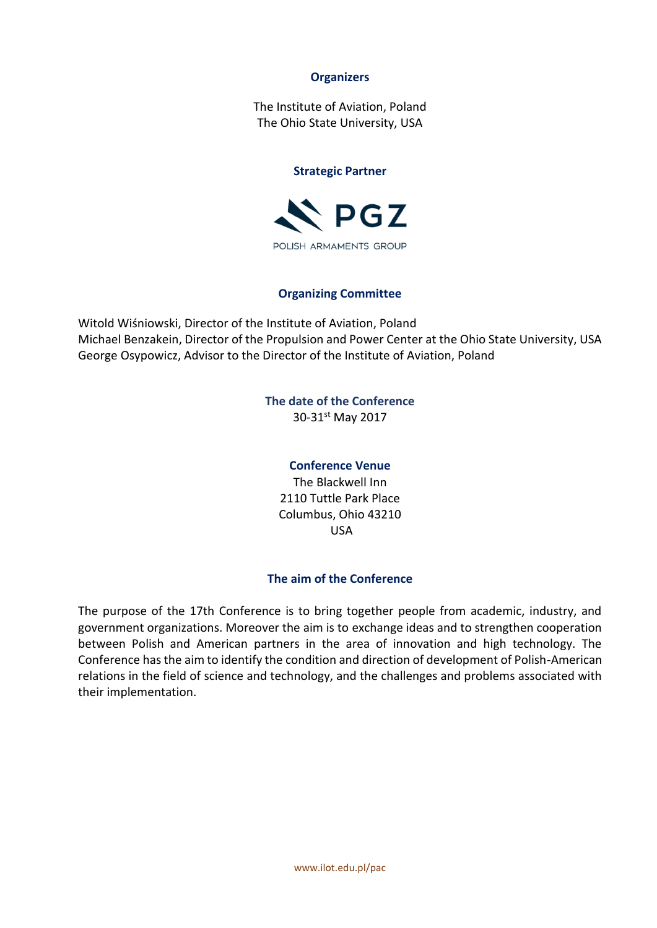### **Organizers**

The Institute of Aviation, Poland The Ohio State University, USA

#### **Strategic Partner**



### **Organizing Committee**

Witold Wiśniowski, Director of the Institute of Aviation, Poland Michael Benzakein, Director of the Propulsion and Power Center at the Ohio State University, USA George Osypowicz, Advisor to the Director of the Institute of Aviation, Poland

# **The date of the Conference**

30-31st May 2017

### **Conference Venue**

The Blackwell Inn 2110 Tuttle Park Place Columbus, Ohio 43210 USA

### **The aim of the Conference**

The purpose of the 17th Conference is to bring together people from academic, industry, and government organizations. Moreover the aim is to exchange ideas and to strengthen cooperation between Polish and American partners in the area of innovation and high technology. The Conference has the aim to identify the condition and direction of development of Polish-American relations in the field of science and technology, and the challenges and problems associated with their implementation.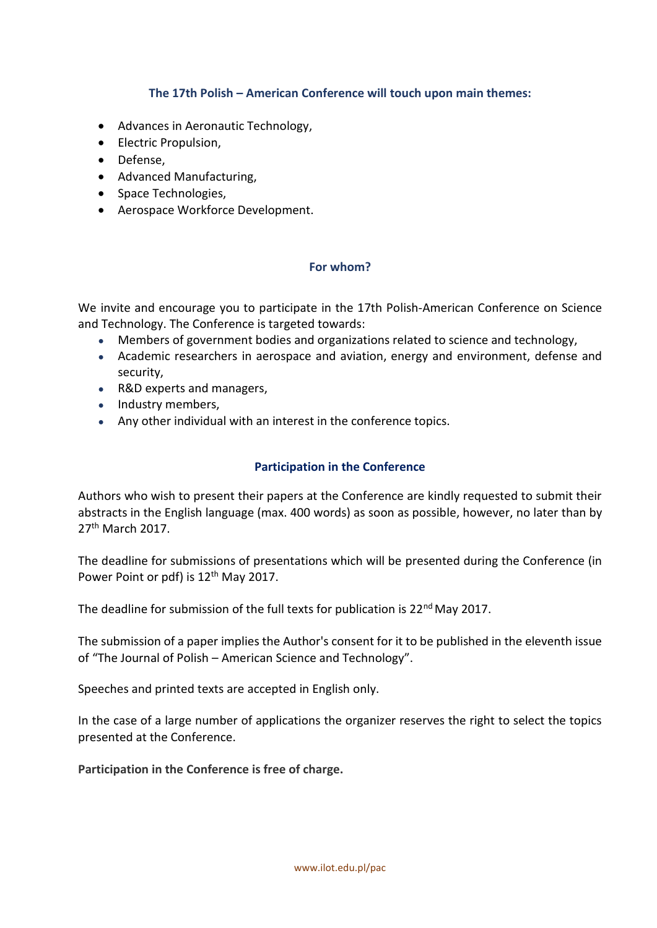# **The 17th Polish – American Conference will touch upon main themes:**

- Advances in Aeronautic Technology,
- **•** Electric Propulsion,
- Defense,
- Advanced Manufacturing,
- Space Technologies.
- Aerospace Workforce Development.

### **For whom?**

We invite and encourage you to participate in the 17th Polish-American Conference on Science and Technology. The Conference is targeted towards:

- Members of government bodies and organizations related to science and technology,
- Academic researchers in aerospace and aviation, energy and environment, defense and security,
- R&D experts and managers,
- Industry members,
- Any other individual with an interest in the conference topics.

# **Participation in the Conference**

Authors who wish to present their papers at the Conference are kindly requested to submit their abstracts in the English language (max. 400 words) as soon as possible, however, no later than by 27th March 2017.

The deadline for submissions of presentations which will be presented during the Conference (in Power Point or pdf) is 12<sup>th</sup> May 2017.

The deadline for submission of the full texts for publication is  $22^{nd}$  May 2017.

The submission of a paper implies the Author's consent for it to be published in the eleventh issue of "The Journal of Polish – American Science and Technology".

Speeches and printed texts are accepted in English only.

In the case of a large number of applications the organizer reserves the right to select the topics presented at the Conference.

**Participation in the Conference is free of charge.**